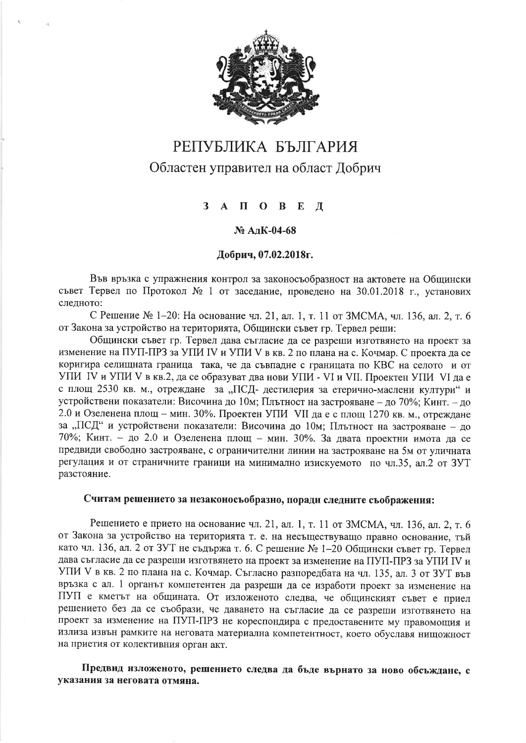

# РЕПУБЛИКА БЪЛГАРИЯ Областен управител на област Добрич

#### $\Pi$  O B  $3 \Delta$  $\mathbf{E}$  $\mathbf{\Pi}$

#### № АлК-04-68

#### Добрич, 07.02.2018г.

Във връзка с упражнения контрол за законосъобразност на актовете на Общински съвет Тервел по Протокол № 1 от заседание, проведено на 30.01.2018 г., установих слелното:

С Решение № 1-20: На основание чл. 21, ал. 1, т. 11 от ЗМСМА, чл. 136, ал. 2, т. 6 от Закона за устройство на територията, Общински съвет гр. Тервел реши:

Общински съвет гр. Тервел дава съгласие да се разреши изготвянето на проект за изменение на ПУП-ПРЗ за УПИ IV и УПИ V в кв. 2 по плана на с. Кочмар. С проекта да се коригира селищната граница така, че да съвпадне с границата по КВС на селото и от УПИ IV и УПИ V в кв.2, да се образуват два нови УПИ - VI и VII. Проектен УПИ VI да е с площ 2530 кв. м., отреждане за "ПСД- дестилерия за етерично-маслени култури" и устройствени показатели: Височина до 10м; Плътност на застрояване - до 70%; Кинт. - до 2.0 и Озеленена площ - мин. 30%. Проектен УПИ VII да е с площ 1270 кв. м., отреждане за "ПСД" и устройствени показатели: Височина до 10м; Плътност на застрояване - до 70%; Кинт. - до 2.0 и Озеленена площ - мин. 30%. За двата проектни имота да се предвиди свободно застрояване, с ограничителни линии на застрояване на 5м от уличната регулация и от страничните граници на минимално изискуемото по чл.35, ал.2 от ЗУТ разстояние.

## Считам решението за незаконосьобразно, поради следните съображения:

Решението е прието на основание чл. 21, ал. 1, т. 11 от ЗМСМА, чл. 136, ал. 2, т. 6 от Закона за устройство на територията т. е. на несъществуващо правно основание, тъй като чл. 136, ал. 2 от ЗУТ не съдържа т. 6. С решение № 1-20 Общински съвет гр. Тервел дава съгласие да се разреши изготвянето на проект за изменение на ПУП-ПРЗ за УПИ IV и УПИ V в кв. 2 по плана на с. Кочмар. Съгласно разпоредбата на чл. 135, ал. 3 от ЗУТ във връзка с ал. 1 органът компетентен да разреши да се изработи проект за изменение на ПУП е кметът на общината. От изложеното следва, че общинският съвет е приел решението без да се съобрази, че даването на съгласие да се разреши изготвянето на проект за изменение на ПУП-ПРЗ не кореспондира с предоставените му правомощия и излиза извън рамките на неговата материална компетентност, което обуславя нищожност на приетия от колективния орган акт.

Предвид изложеното, решението следва да бъде върнато за ново обсъждане, с указания за неговата отмяна.